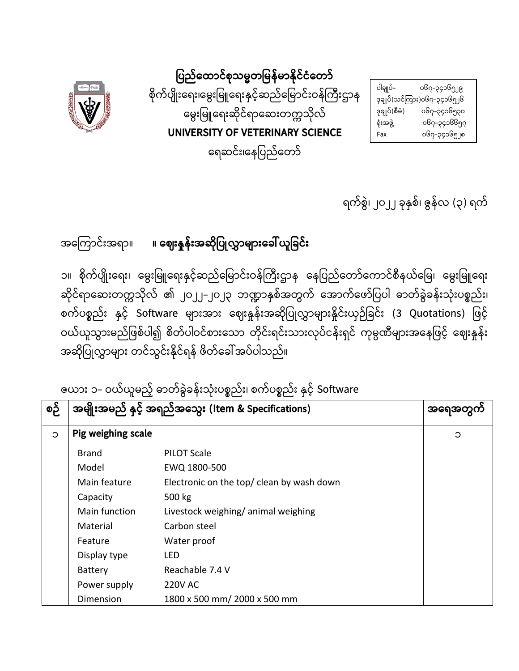| ပါချုပ်–      | ၀၆၇–၃၄၁၆၅၂၉                 |
|---------------|-----------------------------|
|               | ဒုချုပ်(သင်ကြား)၀၆၇–၃၄၁၆၅၂၆ |
| ဒုချုပ်(စီမံ) | ၀၆၇–၃၄၁၆၅၃၀                 |
| ရုံးအဖွဲ့     | ၀၆၇–၃၄၁၆၆၅၇                 |
| Fax           | ၀၆၇–၃၄၁၆၅၂၈                 |

**ȁပည်ǹထာင်စုသမတȁမန်မာိုင်ငံǹတာ်** စိုက်ပျိုးရေး၊မွေးမြူရေးနှင့်ဆည်မြောင်းဝန်ကြီးဌာန ǹမွးȁမǹရးဆိုင်ရာǹဆးတကသိုလ် **UNIVERSITY OF VETERINARY SCIENCE**  ရေဆင်း၊နေပြည်တော်



အǹကာင်းအရာ။ **။ ǹဈးန်းအဆိုȁပလာများǹခယူȁခင်း**

၁။ စိုက်ပျိုးရေး၊ မွေးမြူရေးနှင့်ဆည်မြောင်းဝန်ကြီးဌာန နေပြည်တော်ကောင်စီနယ်မြေ၊ မွေးမြူရေး ဆိုင်ရာဆေးတက္ကသိုလ် ၏ ၂၀၂၂–၂၀၂၃ ဘဏ္ဍာနှစ်အတွက် အောက်ဖော်ပြပါ ဓာတ်ခွဲခန်းသုံးပစ္စည်း၊ စက်ပစ္စည်း နှင့် Software များအား ဈေးနှုန်းအဆိုပြုလွှာများနှိုင်းယှဉ်ခြင်း (3 Quotations) ဖြင့် ဝယ်ယူသွားမည်ဖြစ်ပါ၍ စိတ်ပါဝင်စားသော တိုင်းရင်းသားလုပ်ငန်းရှင် ကုမ္ပဏီများအနေဖြင့် ဈေးနှုန်း အဆိုပြုလွှာများ တင်သွင်းနိုင်ရန် ဖိတ်ခေါ် အပ်ပါသည်။

ဇယား ၁– ဝယ်ယူမည့် ဓာတ်ခွဲခန်းသုံးပစ္စည်း၊ စက်ပစ္စည်း နှင့် Software

| စဉ်     | အမျိုးအမည် နှင့် အရည်အသွေး (Item & Specifications) | အရေအတွက                                   |   |
|---------|----------------------------------------------------|-------------------------------------------|---|
| $\circ$ | Pig weighing scale                                 |                                           | C |
|         | Brand                                              | <b>PILOT Scale</b>                        |   |
|         | Model                                              | EWQ 1800-500                              |   |
|         | Main feature                                       | Electronic on the top/ clean by wash down |   |
|         | Capacity                                           | 500 kg                                    |   |
|         | Main function                                      | Livestock weighing/animal weighing        |   |
|         | Material                                           | Carbon steel                              |   |
|         | Feature                                            | Water proof                               |   |
|         | Display type                                       | LED                                       |   |
|         | <b>Battery</b>                                     | Reachable 7.4 V                           |   |
|         | Power supply                                       | <b>220V AC</b>                            |   |
|         | Dimension                                          | 1800 x 500 mm/ 2000 x 500 mm              |   |

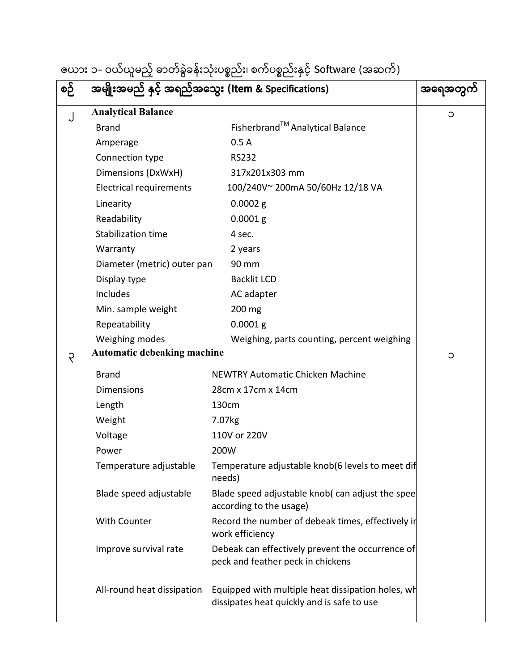|          |  |  |  | ဇယား ၁– ဝယ်ယူမည့် ဓာတ်ခွဲခန်းသုံးပစ္စည်း၊ စက်ပစ္စည်းနှင့် Software (အဆက်) |  |
|----------|--|--|--|---------------------------------------------------------------------------|--|
| e o ce e |  |  |  |                                                                           |  |

| စဉ်         | အမျိုးအမည် နှင့် အရည်အသွေး (Item & Specifications) | အရေအတွ                                                                                          |         |
|-------------|----------------------------------------------------|-------------------------------------------------------------------------------------------------|---------|
| J           | <b>Analytical Balance</b>                          |                                                                                                 | C       |
|             | <b>Brand</b>                                       | Fisherbrand™ Analytical Balance                                                                 |         |
|             | Amperage                                           | 0.5A                                                                                            |         |
|             | Connection type                                    | <b>RS232</b>                                                                                    |         |
|             | Dimensions (DxWxH)                                 | 317x201x303 mm                                                                                  |         |
|             | <b>Electrical requirements</b>                     | 100/240V~ 200mA 50/60Hz 12/18 VA                                                                |         |
|             | Linearity                                          | $0.0002$ g                                                                                      |         |
|             | Readability                                        | $0.0001$ g                                                                                      |         |
|             | <b>Stabilization time</b>                          | 4 sec.                                                                                          |         |
|             | Warranty                                           | 2 years                                                                                         |         |
|             | Diameter (metric) outer pan                        | 90 mm                                                                                           |         |
|             | Display type                                       | <b>Backlit LCD</b>                                                                              |         |
|             | Includes                                           | AC adapter                                                                                      |         |
|             | Min. sample weight                                 | 200 mg                                                                                          |         |
|             | Repeatability                                      | $0.0001$ g                                                                                      |         |
|             | Weighing modes                                     | Weighing, parts counting, percent weighing                                                      |         |
| $\varsigma$ | Automatic debeaking machine                        |                                                                                                 | $\circ$ |
|             | <b>Brand</b>                                       | <b>NEWTRY Automatic Chicken Machine</b>                                                         |         |
|             | <b>Dimensions</b>                                  | 28cm x 17cm x 14cm                                                                              |         |
|             | Length                                             | 130cm                                                                                           |         |
|             | Weight                                             | 7.07kg                                                                                          |         |
|             | Voltage                                            | 110V or 220V                                                                                    |         |
|             | Power                                              | 200W                                                                                            |         |
|             | Temperature adjustable                             | Temperature adjustable knob(6 levels to meet dif<br>needs)                                      |         |
|             | Blade speed adjustable                             | Blade speed adjustable knob( can adjust the spee<br>according to the usage)                     |         |
|             | With Counter                                       | Record the number of debeak times, effectively ir<br>work efficiency                            |         |
|             | Improve survival rate                              | Debeak can effectively prevent the occurrence of<br>peck and feather peck in chickens           |         |
|             | All-round heat dissipation                         | Equipped with multiple heat dissipation holes, wh<br>dissipates heat quickly and is safe to use |         |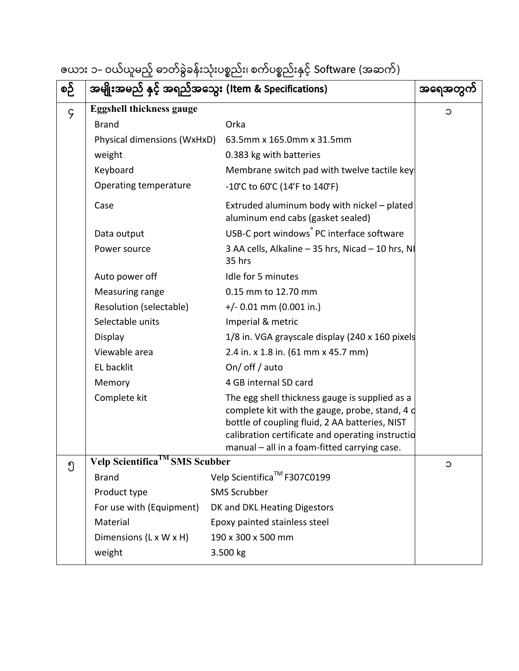| ဇယား ၁– ဝယ်ယူမည့် ဓာတ်ခွဲခန်းသုံးပစ္စည်း၊ စက်ပစ္စည်းနှင့် Software (အဆက်) |  |  |  |  |  |
|---------------------------------------------------------------------------|--|--|--|--|--|
|---------------------------------------------------------------------------|--|--|--|--|--|

| စဉ်         | အမျိုးအမည် နှင့် အရည်အသွေး (Item & Specifications) | အရေအတွက်                                                                                                                                                                                                                                               |         |
|-------------|----------------------------------------------------|--------------------------------------------------------------------------------------------------------------------------------------------------------------------------------------------------------------------------------------------------------|---------|
| $\varsigma$ | <b>Eggshell thickness gauge</b>                    |                                                                                                                                                                                                                                                        | С       |
|             | <b>Brand</b>                                       | Orka                                                                                                                                                                                                                                                   |         |
|             | Physical dimensions (WxHxD)                        | 63.5mm x 165.0mm x 31.5mm                                                                                                                                                                                                                              |         |
|             | weight                                             | 0.383 kg with batteries                                                                                                                                                                                                                                |         |
|             | Keyboard                                           | Membrane switch pad with twelve tactile key                                                                                                                                                                                                            |         |
|             | Operating temperature                              | $-10^{\circ}$ C to 60 $^{\circ}$ C (14 $^{\circ}$ F to 140 $^{\circ}$ F)                                                                                                                                                                               |         |
|             | Case                                               | Extruded aluminum body with nickel - plated<br>aluminum end cabs (gasket sealed)                                                                                                                                                                       |         |
|             | Data output                                        | USB-C port windows <sup>®</sup> PC interface software                                                                                                                                                                                                  |         |
|             | Power source                                       | 3 AA cells, Alkaline - 35 hrs, Nicad - 10 hrs, NI<br>35 hrs                                                                                                                                                                                            |         |
|             | Auto power off                                     | Idle for 5 minutes                                                                                                                                                                                                                                     |         |
|             | Measuring range                                    | 0.15 mm to 12.70 mm                                                                                                                                                                                                                                    |         |
|             | Resolution (selectable)                            | $+/- 0.01$ mm (0.001 in.)                                                                                                                                                                                                                              |         |
|             | Selectable units                                   | Imperial & metric                                                                                                                                                                                                                                      |         |
|             | Display                                            | 1/8 in. VGA grayscale display (240 x 160 pixels                                                                                                                                                                                                        |         |
|             | Viewable area                                      | 2.4 in. x 1.8 in. (61 mm x 45.7 mm)                                                                                                                                                                                                                    |         |
|             | EL backlit                                         | On/ off/auto                                                                                                                                                                                                                                           |         |
|             | Memory                                             | 4 GB internal SD card                                                                                                                                                                                                                                  |         |
|             | Complete kit                                       | The egg shell thickness gauge is supplied as a<br>complete kit with the gauge, probe, stand, 4 d<br>bottle of coupling fluid, 2 AA batteries, NIST<br>calibration certificate and operating instructio<br>manual - all in a foam-fitted carrying case. |         |
| ၅           | Velp Scientifica IMS Scubber                       |                                                                                                                                                                                                                                                        | $\circ$ |
|             | <b>Brand</b>                                       | Velp Scientifica <sup>™</sup> F307C0199                                                                                                                                                                                                                |         |
|             | Product type                                       | <b>SMS Scrubber</b>                                                                                                                                                                                                                                    |         |
|             | For use with (Equipment)                           | DK and DKL Heating Digestors                                                                                                                                                                                                                           |         |
|             | Material                                           | Epoxy painted stainless steel                                                                                                                                                                                                                          |         |
|             | Dimensions (L x W x H)                             | 190 x 300 x 500 mm                                                                                                                                                                                                                                     |         |
|             | weight                                             | 3.500 kg                                                                                                                                                                                                                                               |         |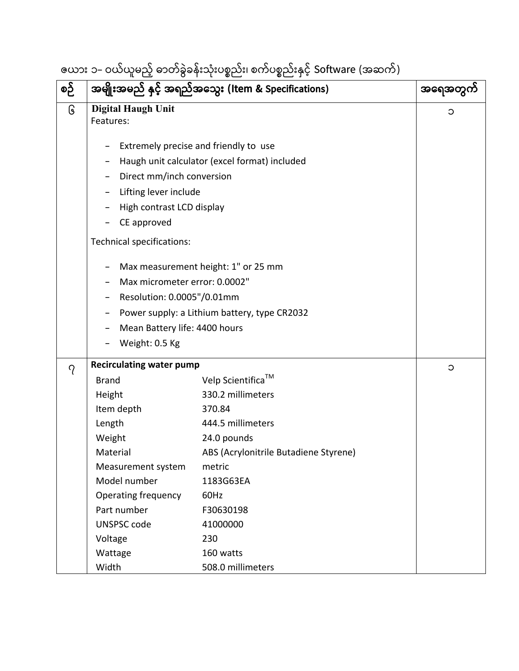## ဇယား ၁- ဝယ်ယူမည့် ဓာတ်ခွဲခန်းသုံးပစည်း၊ စက်ပစည်းှင့် Software (အဆက်)

| စဉ်      |                                                                                                                                                                                                                                                                                        | အမျိုးအမည် နှင့် အရည်အသွေး (Item & Specifications)                                                                                                                                                                                         | အရေအတွက် |
|----------|----------------------------------------------------------------------------------------------------------------------------------------------------------------------------------------------------------------------------------------------------------------------------------------|--------------------------------------------------------------------------------------------------------------------------------------------------------------------------------------------------------------------------------------------|----------|
| િ        | <b>Digital Haugh Unit</b><br>Features:                                                                                                                                                                                                                                                 |                                                                                                                                                                                                                                            | $\circ$  |
|          | Extremely precise and friendly to use<br>Direct mm/inch conversion<br>Lifting lever include<br>High contrast LCD display<br>CE approved<br>Technical specifications:<br>Max micrometer error: 0.0002"<br>Resolution: 0.0005"/0.01mm<br>Mean Battery life: 4400 hours<br>Weight: 0.5 Kg | Haugh unit calculator (excel format) included<br>Max measurement height: 1" or 25 mm<br>Power supply: a Lithium battery, type CR2032                                                                                                       |          |
|          | <b>Recirculating water pump</b>                                                                                                                                                                                                                                                        |                                                                                                                                                                                                                                            | $\circ$  |
| $\gamma$ | <b>Brand</b><br>Height<br>Item depth<br>Length<br>Weight<br>Material<br>Measurement system<br>Model number<br><b>Operating frequency</b><br>Part number<br><b>UNSPSC code</b><br>Voltage<br>Wattage<br>Width                                                                           | Velp Scientifica <sup>™</sup><br>330.2 millimeters<br>370.84<br>444.5 millimeters<br>24.0 pounds<br>ABS (Acrylonitrile Butadiene Styrene)<br>metric<br>1183G63EA<br>60Hz<br>F30630198<br>41000000<br>230<br>160 watts<br>508.0 millimeters |          |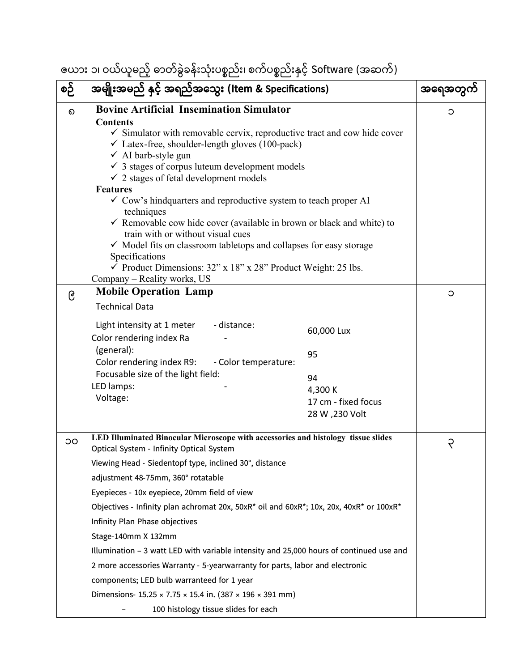ဇယား ၁၊ ဝယ်ယူမည့် ဓာတ်ခွဲခန်းသုံးပစည်း၊ စက်ပစည်းှင့် Software (အဆက်)

| စဉ်      | အမျိုးအမည် နှင့် အရည်အသွေး (Item & Specifications)                                                                                                                                                                                                                                                                                                                                                                                                                                                                                                                                                                                                                                                                                                                                       |                                                                             | အရေအတွကဲ    |
|----------|------------------------------------------------------------------------------------------------------------------------------------------------------------------------------------------------------------------------------------------------------------------------------------------------------------------------------------------------------------------------------------------------------------------------------------------------------------------------------------------------------------------------------------------------------------------------------------------------------------------------------------------------------------------------------------------------------------------------------------------------------------------------------------------|-----------------------------------------------------------------------------|-------------|
| $\Omega$ | <b>Bovine Artificial Insemination Simulator</b><br><b>Contents</b><br>$\checkmark$ Simulator with removable cervix, reproductive tract and cow hide cover<br>$\checkmark$ Latex-free, shoulder-length gloves (100-pack)<br>$\checkmark$ AI barb-style gun<br>$\checkmark$ 3 stages of corpus luteum development models<br>$\checkmark$ 2 stages of fetal development models<br><b>Features</b><br>$\checkmark$ Cow's hind quarters and reproductive system to teach proper AI<br>techniques<br>$\checkmark$ Removable cow hide cover (available in brown or black and white) to<br>train with or without visual cues                                                                                                                                                                     |                                                                             |             |
|          | √ Model fits on classroom tabletops and collapses for easy storage<br>Specifications<br>$\checkmark$ Product Dimensions: 32" x 18" x 28" Product Weight: 25 lbs.<br>Company – Reality works, US                                                                                                                                                                                                                                                                                                                                                                                                                                                                                                                                                                                          |                                                                             |             |
| ၉        | <b>Mobile Operation Lamp</b><br><b>Technical Data</b>                                                                                                                                                                                                                                                                                                                                                                                                                                                                                                                                                                                                                                                                                                                                    |                                                                             | C           |
|          | - distance:<br>Light intensity at 1 meter<br>Color rendering index Ra<br>(general):<br>Color rendering index R9: - Color temperature:<br>Focusable size of the light field:<br>LED lamps:<br>Voltage:                                                                                                                                                                                                                                                                                                                                                                                                                                                                                                                                                                                    | 60,000 Lux<br>95<br>94<br>4,300 K<br>17 cm - fixed focus<br>28 W , 230 Volt |             |
| ၁၀       | LED Illuminated Binocular Microscope with accessories and histology tissue slides<br>Optical System - Infinity Optical System<br>Viewing Head - Siedentopf type, inclined 30°, distance<br>adjustment 48-75mm, 360° rotatable<br>Eyepieces - 10x eyepiece, 20mm field of view<br>Objectives - Infinity plan achromat 20x, 50xR* oil and 60xR*; 10x, 20x, 40xR* or 100xR*<br>Infinity Plan Phase objectives<br>Stage-140mm X 132mm<br>Illumination - 3 watt LED with variable intensity and 25,000 hours of continued use and<br>2 more accessories Warranty - 5-yearwarranty for parts, labor and electronic<br>components; LED bulb warranteed for 1 year<br>Dimensions- $15.25 \times 7.75 \times 15.4$ in. (387 $\times$ 196 $\times$ 391 mm)<br>100 histology tissue slides for each |                                                                             | $\varsigma$ |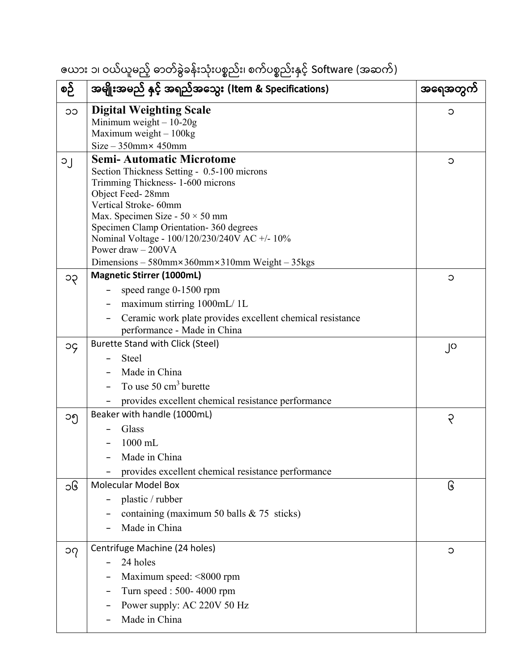ဇယား ၁၊ ဝယ်ယူမည့် ဓာတ်ခွဲခန်းသုံးပစည်း၊ စက်ပစည်းှင့် Software (အဆက်)

| စဉ်                        | အမျိုးအမည် နှင့် အရည်အသွေး (Item & Specifications)                                      | အရေအတွကဲ |
|----------------------------|-----------------------------------------------------------------------------------------|----------|
| ၁၁                         | <b>Digital Weighting Scale</b>                                                          | Э        |
|                            | Minimum weight $-10-20g$                                                                |          |
|                            | Maximum weight $-100$ kg                                                                |          |
|                            | $Size - 350$ mm $\times$ 450mm                                                          |          |
| ၁၂                         | <b>Semi-Automatic Microtome</b>                                                         | С        |
|                            | Section Thickness Setting - 0.5-100 microns<br>Trimming Thickness- 1-600 microns        |          |
|                            | Object Feed-28mm                                                                        |          |
|                            | Vertical Stroke-60mm                                                                    |          |
|                            | Max. Specimen Size - $50 \times 50$ mm                                                  |          |
|                            | Specimen Clamp Orientation-360 degrees<br>Nominal Voltage - 100/120/230/240V AC +/- 10% |          |
|                            | Power draw $-200VA$                                                                     |          |
|                            | Dimensions $-580$ mm $\times$ 360mm $\times$ 310mm Weight $-35$ kgs                     |          |
| ၁၃                         | <b>Magnetic Stirrer (1000mL)</b>                                                        | $\circ$  |
|                            | speed range 0-1500 rpm                                                                  |          |
|                            | maximum stirring 1000mL/1L                                                              |          |
|                            | Ceramic work plate provides excellent chemical resistance                               |          |
|                            | performance - Made in China                                                             |          |
| эç                         | <b>Burette Stand with Click (Steel)</b>                                                 | ၂၀       |
|                            | <b>Steel</b>                                                                            |          |
|                            | Made in China                                                                           |          |
|                            | To use $50 \text{ cm}^3$ burette                                                        |          |
|                            | provides excellent chemical resistance performance                                      |          |
| ၁၅                         | Beaker with handle (1000mL)                                                             | ၃        |
|                            | Glass                                                                                   |          |
|                            | 1000 mL                                                                                 |          |
|                            | Made in China                                                                           |          |
|                            | provides excellent chemical resistance performance                                      |          |
| ၁၆                         | <b>Molecular Model Box</b>                                                              | િ        |
|                            | plastic / rubber                                                                        |          |
|                            | containing (maximum 50 balls $& 75$ sticks)                                             |          |
|                            | Made in China                                                                           |          |
| $\mathcal{O}(\mathcal{O})$ | Centrifuge Machine (24 holes)                                                           | C        |
|                            | 24 holes                                                                                |          |
|                            | Maximum speed: $\leq 8000$ rpm                                                          |          |
|                            | Turn speed: 500-4000 rpm                                                                |          |
|                            | Power supply: AC 220V 50 Hz                                                             |          |
|                            | Made in China                                                                           |          |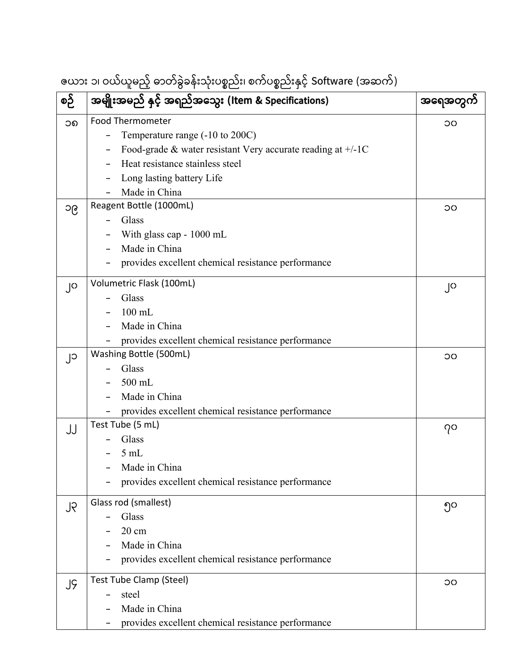ဇယား ၁၊ ဝယ်ယူမည့် ဓာတ်ခွဲခန်းသုံးပစည်း၊ စက်ပစည်းှင့် Software (အဆက်)

| စဉ် | အမျိုးအမည် နှင့် အရည်အသွေး (Item & Specifications)            | အရေအတွက် |
|-----|---------------------------------------------------------------|----------|
| ၁၈  | Food Thermometer                                              | OC       |
|     | Temperature range (-10 to 200C)                               |          |
|     | Food-grade & water resistant Very accurate reading at $+/-1C$ |          |
|     | Heat resistance stainless steel                               |          |
|     | Long lasting battery Life                                     |          |
|     | Made in China                                                 |          |
| ၁၉  | Reagent Bottle (1000mL)                                       | ၁၀       |
|     | Glass                                                         |          |
|     | With glass cap - 1000 mL                                      |          |
|     | Made in China                                                 |          |
|     | provides excellent chemical resistance performance            |          |
| ၂၀  | Volumetric Flask (100mL)                                      | ၂၀       |
|     | Glass                                                         |          |
|     | $100$ mL                                                      |          |
|     | Made in China                                                 |          |
|     | provides excellent chemical resistance performance            |          |
| ၂၁  | Washing Bottle (500mL)                                        | OC       |
|     | Glass                                                         |          |
|     | 500 mL                                                        |          |
|     | Made in China                                                 |          |
|     | provides excellent chemical resistance performance            |          |
| JJ  | Test Tube (5 mL)                                              | 70       |
|     | Glass                                                         |          |
|     | $5 \text{ mL}$                                                |          |
|     | Made in China                                                 |          |
|     | provides excellent chemical resistance performance            |          |
| ၂၃  | Glass rod (smallest)                                          | ၅၀       |
|     | Glass                                                         |          |
|     | $20 \text{ cm}$                                               |          |
|     | Made in China                                                 |          |
|     | provides excellent chemical resistance performance            |          |
| JĢ  | Test Tube Clamp (Steel)                                       | OC       |
|     | steel                                                         |          |
|     | Made in China                                                 |          |
|     | provides excellent chemical resistance performance            |          |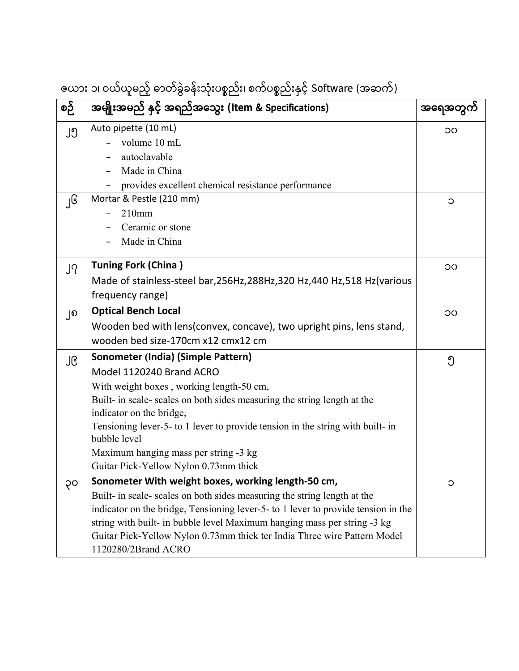| စဉ် | အမျိုးအမည် နှင့် အရည်အသွေး (Item & Specifications)                                | အရေအတွကဲ |
|-----|-----------------------------------------------------------------------------------|----------|
| ၂၅  | Auto pipette (10 mL)                                                              | ၁၀       |
|     | volume 10 mL                                                                      |          |
|     | autoclavable                                                                      |          |
|     | Made in China                                                                     |          |
|     | provides excellent chemical resistance performance                                |          |
| ျ၆  | Mortar & Pestle (210 mm)                                                          | С        |
|     | $210$ mm                                                                          |          |
|     | Ceramic or stone                                                                  |          |
|     | Made in China                                                                     |          |
| ၂၇  | <b>Tuning Fork (China)</b>                                                        | OC       |
|     | Made of stainless-steel bar, 256Hz, 288Hz, 320 Hz, 440 Hz, 518 Hz (various        |          |
|     | frequency range)                                                                  |          |
| ၂၈  | <b>Optical Bench Local</b>                                                        | OC       |
|     | Wooden bed with lens (convex, concave), two upright pins, lens stand,             |          |
|     | wooden bed size-170cm x12 cmx12 cm                                                |          |
| ၂၉  | Sonometer (India) (Simple Pattern)                                                | ၅        |
|     | Model 1120240 Brand ACRO                                                          |          |
|     | With weight boxes, working length-50 cm,                                          |          |
|     | Built- in scale- scales on both sides measuring the string length at the          |          |
|     | indicator on the bridge,                                                          |          |
|     | Tensioning lever-5- to 1 lever to provide tension in the string with built- in    |          |
|     | bubble level                                                                      |          |
|     | Maximum hanging mass per string -3 kg                                             |          |
|     | Guitar Pick-Yellow Nylon 0.73mm thick                                             |          |
| ၃၀  | Sonometer With weight boxes, working length-50 cm,                                | C        |
|     | Built- in scale- scales on both sides measuring the string length at the          |          |
|     | indicator on the bridge, Tensioning lever-5- to 1 lever to provide tension in the |          |
|     | string with built- in bubble level Maximum hanging mass per string -3 kg          |          |
|     | Guitar Pick-Yellow Nylon 0.73mm thick ter India Three wire Pattern Model          |          |
|     | 1120280/2Brand ACRO                                                               |          |

ဇယား ၁၊ ဝယ်ယူမည့် ဓာတ်ခွဲခန်းသုံးပစ္စည်း၊ စက်ပစ္စည်းနှင့် Software (အဆက်)<br>————————————————————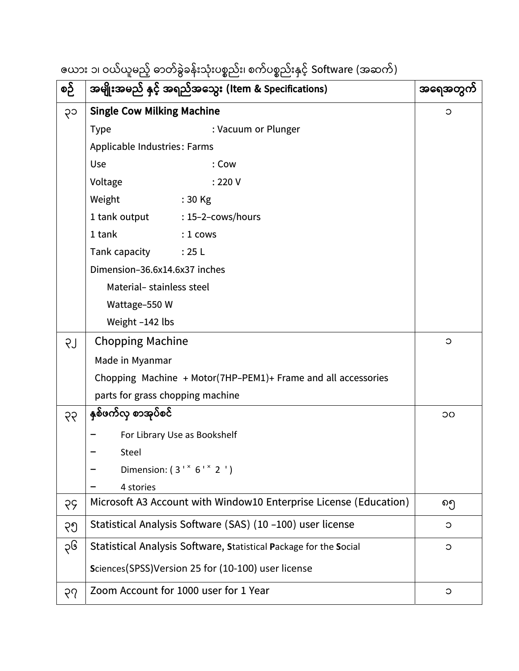ဇယား ၁၊ ဝယ်ယူမည့် ဓာတ်ခွဲခန်းသုံးပစ္စည်း၊ စက်ပစ္စည်းနှင့် Software (အဆက်)

| စဉ် | အမျိုးအမည် နှင့် အရည်အသွေး (Item & Specifications)                | အရေအတွက် |
|-----|-------------------------------------------------------------------|----------|
| ၃၁  | <b>Single Cow Milking Machine</b>                                 | C        |
|     | : Vacuum or Plunger<br><b>Type</b>                                |          |
|     | Applicable Industries: Farms                                      |          |
|     | Use<br>: Cow                                                      |          |
|     | Voltage<br>: 220V                                                 |          |
|     | Weight<br>$:30$ Kg                                                |          |
|     | 1 tank output<br>$: 15-2$ -cows/hours                             |          |
|     | 1 tank<br>$: 1$ cows                                              |          |
|     | Tank capacity<br>: 25L                                            |          |
|     | Dimension-36.6x14.6x37 inches                                     |          |
|     | Material-stainless steel                                          |          |
|     | Wattage-550 W                                                     |          |
|     | Weight -142 lbs                                                   |          |
| LŞ  | <b>Chopping Machine</b>                                           | $\circ$  |
|     | Made in Myanmar                                                   |          |
|     | Chopping Machine + Motor(7HP-PEM1)+ Frame and all accessories     |          |
|     | parts for grass chopping machine                                  |          |
| 99  | နှစ်ဖက်လှ စာအုပ်စင်                                               | OC       |
|     | For Library Use as Bookshelf                                      |          |
|     | Steel                                                             |          |
|     | Dimension: $(3' * 6' * 2')$                                       |          |
|     | 4 stories                                                         |          |
| 55  | Microsoft A3 Account with Window10 Enterprise License (Education) | ၈၅       |
| ၃၅  | Statistical Analysis Software (SAS) (10-100) user license         | $\circ$  |
| ၃၆  | Statistical Analysis Software, Statistical Package for the Social | $\circ$  |
|     | Sciences(SPSS)Version 25 for (10-100) user license                |          |
| ၃၇  | Zoom Account for 1000 user for 1 Year                             | $\circ$  |